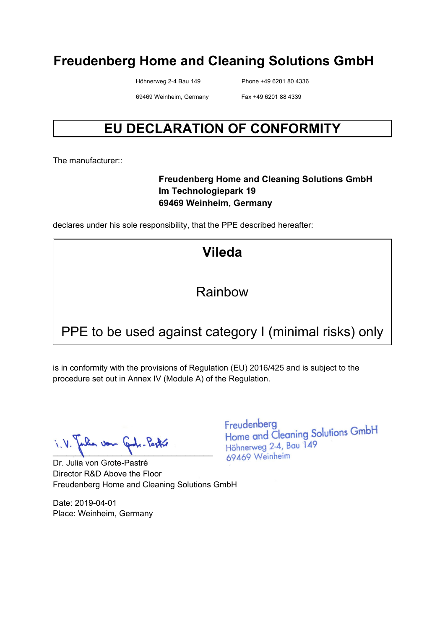Höhnerweg 2-4 Bau 149 Phone +49 6201 80 4336

69469 Weinheim, Germany Fax +49 6201 88 4339

# **EU DECLARATION OF CONFORMITY**

The manufacturer:

#### **Freudenberg Home and Cleaning Solutions GmbH Im Technologiepark 19 69469 Weinheim, Germany**

declares under his sole responsibility, that the PPE described hereafter:

**Vileda** 

Rainbow

# PPE to be used against category I (minimal risks) only

is in conformity with the provisions of Regulation (EU) 2016/425 and is subject to the procedure set out in Annex IV (Module A) of the Regulation.

 $\blacksquare$ 

Dr. Julia von Grote-Pastré Director R&D Above the Floor Freudenberg Home and Cleaning Solutions GmbH

Date: 2019-04-01 Place: Weinheim, Germany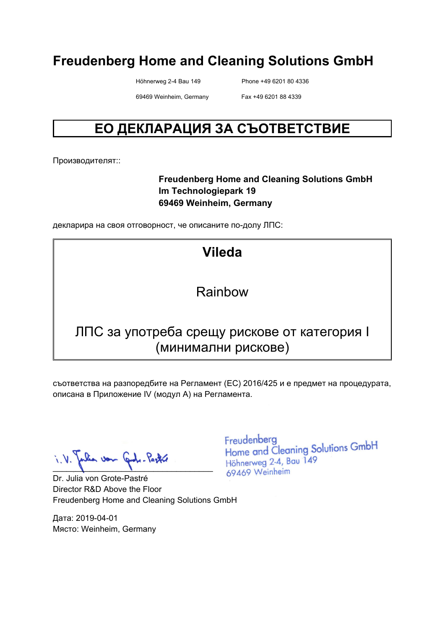Höhnerweg 2-4 Bau 149 Phone +49 6201 80 4336

69469 Weinheim, Germany Fax +49 6201 88 4339

# **ЕО ДЕКЛАРАЦИЯ ЗА СЪОТВЕТСТВИЕ**

Производителят::

#### **Freudenberg Home and Cleaning Solutions GmbH Im Technologiepark 19 69469 Weinheim, Germany**

декларира на своя отговорност, че описаните по-долу ЛПС:

**Vileda** 

#### Rainbow

### ЛПС за употреба срещу рискове от категория I (минимални рискове)

съответства на разпоредбите на Регламент (ЕС) 2016/425 и е предмет на процедурата, описана в Приложение IV (модул A) на Регламента.

 $\blacksquare$ 

Dr. Julia von Grote-Pastré Director R&D Above the Floor Freudenberg Home and Cleaning Solutions GmbH

Дата: 2019-04-01 Място: Weinheim, Germany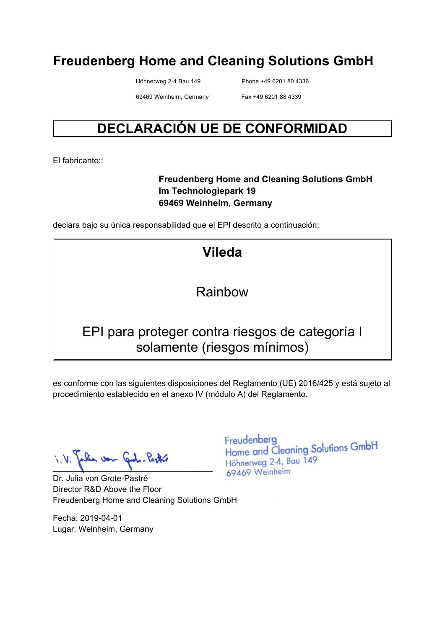Höhnerweg 2-4 Bau 149 Phone +49 6201 80 4336

69469 Weinheim, Germany Fax +49 6201 88 4339

# **DECLARACIÓN UE DE CONFORMIDAD**

El fabricante::

#### **Freudenberg Home and Cleaning Solutions GmbH Im Technologiepark 19 69469 Weinheim, Germany**

declara bajo su única responsabilidad que el EPI descrito a continuación:

**Vileda** 

Rainbow

### EPI para proteger contra riesgos de categoría I solamente (riesgos mínimos)

es conforme con las siguientes disposiciones del Reglamento (UE) 2016/425 y está sujeto al procedimiento establecido en el anexo IV (módulo A) del Reglamento.

 $\blacksquare$ 

Dr. Julia von Grote-Pastré Director R&D Above the Floor Freudenberg Home and Cleaning Solutions GmbH

Fecha: 2019-04-01 Lugar: Weinheim, Germany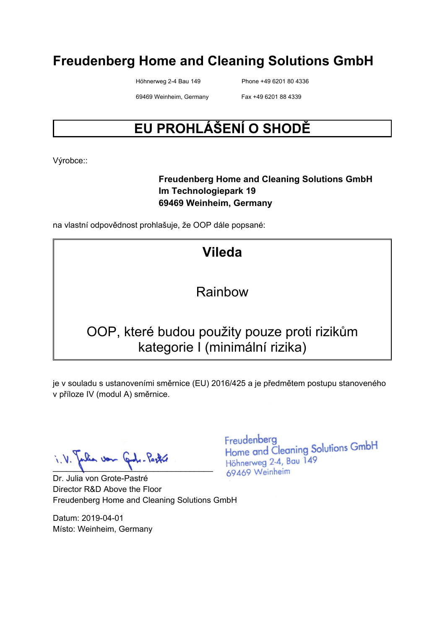Höhnerweg 2-4 Bau 149 Phone +49 6201 80 4336

69469 Weinheim, Germany Fax +49 6201 88 4339

# **EU PROHLÁŠENÍ O SHODĚ**

Výrobce::

#### **Freudenberg Home and Cleaning Solutions GmbH Im Technologiepark 19 69469 Weinheim, Germany**

na vlastní odpovědnost prohlašuje, že OOP dále popsané:

# **Vileda**

#### Rainbow

# OOP, které budou použity pouze proti rizikům kategorie I (minimální rizika)

je v souladu s ustanoveními směrnice (EU) 2016/425 a je předmětem postupu stanoveného v příloze IV (modul A) směrnice.

 $\blacksquare$ 

Dr. Julia von Grote-Pastré Director R&D Above the Floor Freudenberg Home and Cleaning Solutions GmbH

Datum: 2019-04-01 Místo: Weinheim, Germany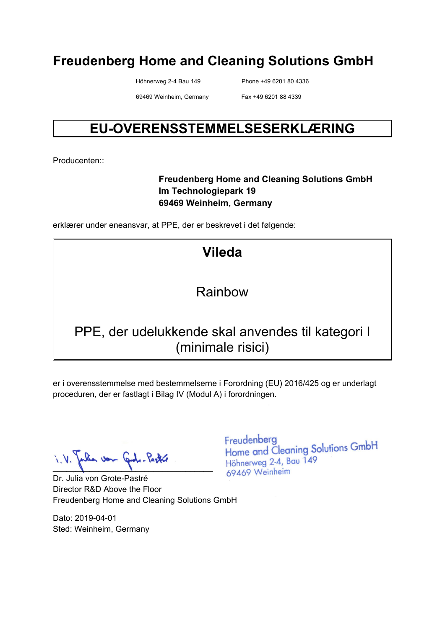Höhnerweg 2-4 Bau 149 Phone +49 6201 80 4336

69469 Weinheim, Germany Fax +49 6201 88 4339

# **EU-OVERENSSTEMMELSESERKLÆRING**

Producenten::

#### **Freudenberg Home and Cleaning Solutions GmbH Im Technologiepark 19 69469 Weinheim, Germany**

erklærer under eneansvar, at PPE, der er beskrevet i det følgende:

**Vileda** 

### Rainbow

# PPE, der udelukkende skal anvendes til kategori I (minimale risici)

er i overensstemmelse med bestemmelserne i Forordning (EU) 2016/425 og er underlagt proceduren, der er fastlagt i Bilag IV (Modul A) i forordningen.

lia von John Partie  $\blacksquare$ 

Dr. Julia von Grote-Pastré Director R&D Above the Floor Freudenberg Home and Cleaning Solutions GmbH

Dato: 2019-04-01 Sted: Weinheim, Germany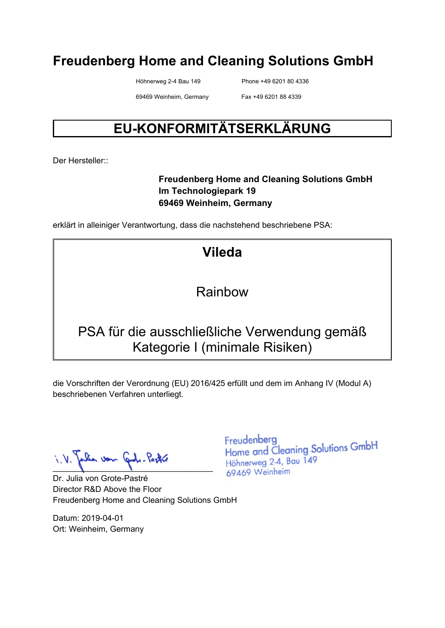Höhnerweg 2-4 Bau 149 Phone +49 6201 80 4336

69469 Weinheim, Germany Fax +49 6201 88 4339

# **EU-KONFORMITÄTSERKLÄRUNG**

Der Hersteller::

#### **Freudenberg Home and Cleaning Solutions GmbH Im Technologiepark 19 69469 Weinheim, Germany**

erklärt in alleiniger Verantwortung, dass die nachstehend beschriebene PSA:

**Vileda** 

Rainbow

# PSA für die ausschließliche Verwendung gemäß Kategorie I (minimale Risiken)

die Vorschriften der Verordnung (EU) 2016/425 erfüllt und dem im Anhang IV (Modul A) beschriebenen Verfahren unterliegt.

 $\blacksquare$ 

Dr. Julia von Grote-Pastré Director R&D Above the Floor Freudenberg Home and Cleaning Solutions GmbH

Datum: 2019-04-01 Ort: Weinheim, Germany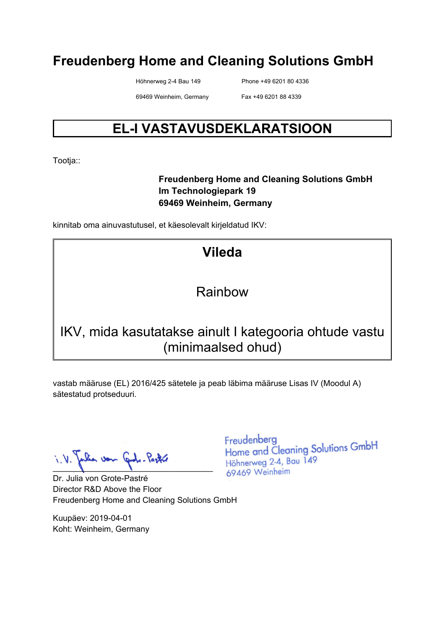Höhnerweg 2-4 Bau 149 Phone +49 6201 80 4336

69469 Weinheim, Germany Fax +49 6201 88 4339

# **EL-I VASTAVUSDEKLARATSIOON**

Tootja::

#### **Freudenberg Home and Cleaning Solutions GmbH Im Technologiepark 19 69469 Weinheim, Germany**

kinnitab oma ainuvastutusel, et käesolevalt kirjeldatud IKV:

# **Vileda**

### Rainbow

# IKV, mida kasutatakse ainult I kategooria ohtude vastu (minimaalsed ohud)

vastab määruse (EL) 2016/425 sätetele ja peab läbima määruse Lisas IV (Moodul A) sätestatud protseduuri.

lia von Cade-Pastre  $\blacksquare$ 

Dr. Julia von Grote-Pastré Director R&D Above the Floor Freudenberg Home and Cleaning Solutions GmbH

Kuupäev: 2019-04-01 Koht: Weinheim, Germany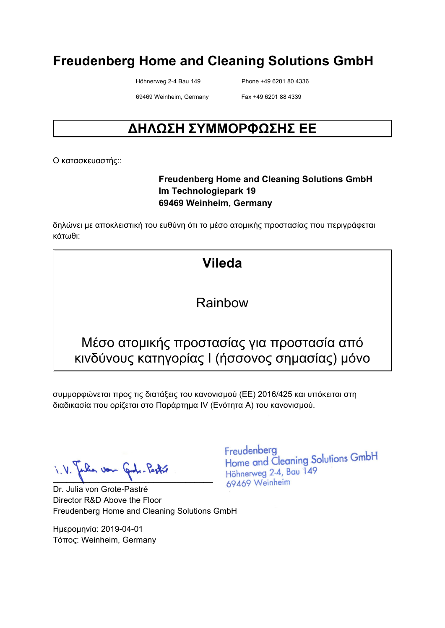Höhnerweg 2-4 Bau 149 Phone +49 6201 80 4336

69469 Weinheim, Germany Fax +49 6201 88 4339

# **ΔΗΛΩΣΗ ΣΥΜΜΟΡΦΩΣΗΣ ΕΕ**

Ο κατασκευαστής::

#### **Freudenberg Home and Cleaning Solutions GmbH Im Technologiepark 19 69469 Weinheim, Germany**

δηλώνει με αποκλειστική του ευθύνη ότι το μέσο ατομικής προστασίας που περιγράφεται κάτωθι:

# **Vileda**

Rainbow

### Μέσο ατομικής προστασίας για προστασία από κινδύνους κατηγορίας I (ήσσονος σημασίας) μόνο

συμμορφώνεται προς τις διατάξεις του κανονισμού (ΕΕ) 2016/425 και υπόκειται στη διαδικασία που ορίζεται στο Παράρτημα IV (Ενότητα Α) του κανονισμού.

 $\blacksquare$ 

Dr. Julia von Grote-Pastré Director R&D Above the Floor Freudenberg Home and Cleaning Solutions GmbH

Ημερομηνία: 2019-04-01 Τόπος: Weinheim, Germany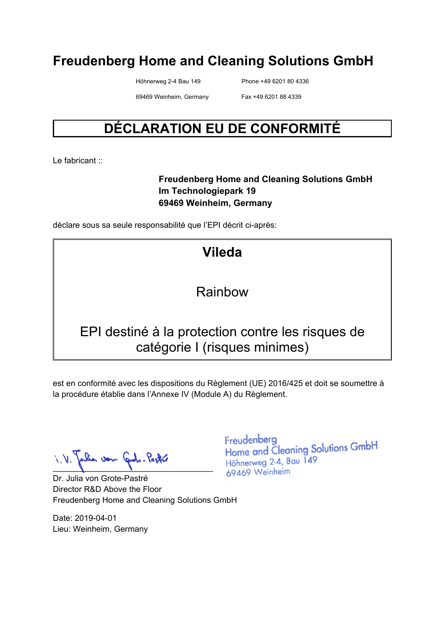Höhnerweg 2-4 Bau 149 Phone +49 6201 80 4336

69469 Weinheim, Germany Fax +49 6201 88 4339

# **DÉCLARATION EU DE CONFORMITÉ**

Le fabricant :

#### **Freudenberg Home and Cleaning Solutions GmbH Im Technologiepark 19 69469 Weinheim, Germany**

déclare sous sa seule responsabilité que l'EPI décrit ci-après:

# **Vileda**

### Rainbow

### EPI destiné à la protection contre les risques de catégorie I (risques minimes)

est en conformité avec les dispositions du Règlement (UE) 2016/425 et doit se soumettre à la procédure établie dans l'Annexe IV (Module A) du Règlement.

 $\blacksquare$ 

Dr. Julia von Grote-Pastré Director R&D Above the Floor Freudenberg Home and Cleaning Solutions GmbH

Date: 2019-04-01 Lieu: Weinheim, Germany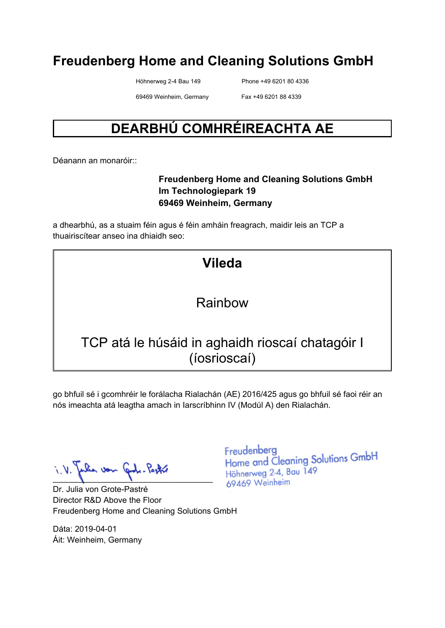Höhnerweg 2-4 Bau 149 Phone +49 6201 80 4336

69469 Weinheim, Germany Fax +49 6201 88 4339

# **DEARBHÚ COMHRÉIREACHTA AE**

Déanann an monaróir::

#### **Freudenberg Home and Cleaning Solutions GmbH Im Technologiepark 19 69469 Weinheim, Germany**

a dhearbhú, as a stuaim féin agus é féin amháin freagrach, maidir leis an TCP a thuairiscítear anseo ina dhiaidh seo:

| <b>Vileda</b>                                                    |  |
|------------------------------------------------------------------|--|
| Rainbow                                                          |  |
| TCP atá le húsáid in aghaidh rioscaí chatagóir I<br>(íosrioscaí) |  |

go bhfuil sé i gcomhréir le forálacha Rialachán (AE) 2016/425 agus go bhfuil sé faoi réir an nós imeachta atá leagtha amach in Iarscríbhinn IV (Modúl A) den Rialachán.

when von Cond. Partir  $\blacksquare$ 

Dr. Julia von Grote-Pastré Director R&D Above the Floor Freudenberg Home and Cleaning Solutions GmbH

Dáta: 2019-04-01 Áit: Weinheim, Germany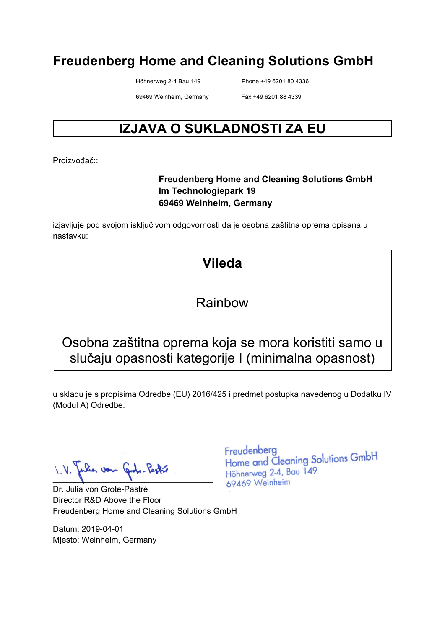Höhnerweg 2-4 Bau 149 Phone +49 6201 80 4336

69469 Weinheim, Germany Fax +49 6201 88 4339

# **IZJAVA O SUKLADNOSTI ZA EU**

Proizvođač<sup>::</sup>

#### **Freudenberg Home and Cleaning Solutions GmbH Im Technologiepark 19 69469 Weinheim, Germany**

izjavljuje pod svojom isključivom odgovornosti da je osobna zaštitna oprema opisana u nastavku:

# **Vileda**

#### Rainbow

Osobna zaštitna oprema koja se mora koristiti samo u slučaju opasnosti kategorije I (minimalna opasnost)

u skladu je s propisima Odredbe (EU) 2016/425 i predmet postupka navedenog u Dodatku IV (Modul A) Odredbe.

 $\blacksquare$ 

Dr. Julia von Grote-Pastré Director R&D Above the Floor Freudenberg Home and Cleaning Solutions GmbH

Datum: 2019-04-01 Mjesto: Weinheim, Germany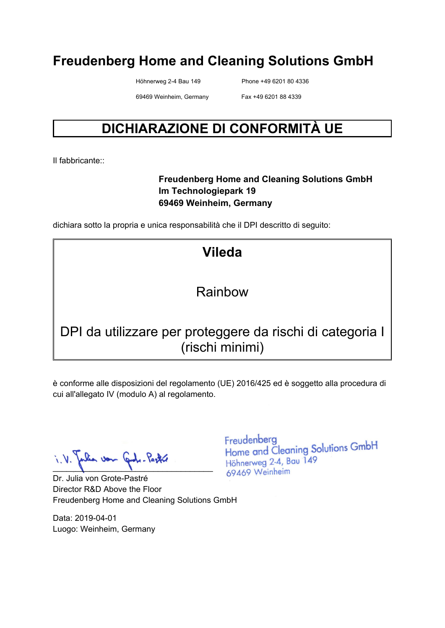Höhnerweg 2-4 Bau 149 Phone +49 6201 80 4336

69469 Weinheim, Germany Fax +49 6201 88 4339

# **DICHIARAZIONE DI CONFORMITÀ UE**

Il fabbricante::

#### **Freudenberg Home and Cleaning Solutions GmbH Im Technologiepark 19 69469 Weinheim, Germany**

dichiara sotto la propria e unica responsabilità che il DPI descritto di seguito:

**Vileda** 

#### Rainbow

# DPI da utilizzare per proteggere da rischi di categoria I (rischi minimi)

è conforme alle disposizioni del regolamento (UE) 2016/425 ed è soggetto alla procedura di cui all'allegato IV (modulo A) al regolamento.

lia von Graf. Pastre  $\blacksquare$ 

Dr. Julia von Grote-Pastré Director R&D Above the Floor Freudenberg Home and Cleaning Solutions GmbH

Data: 2019-04-01 Luogo: Weinheim, Germany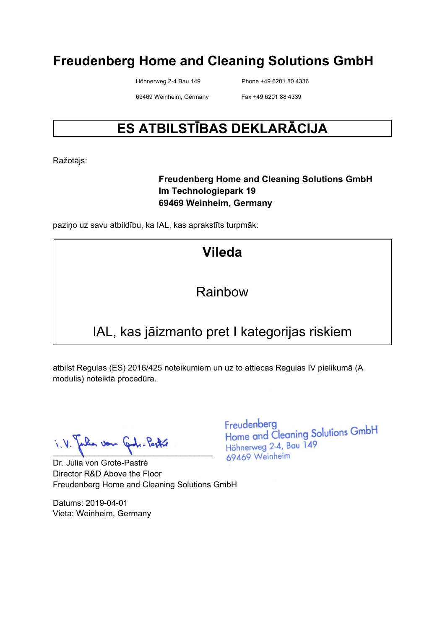Höhnerweg 2-4 Bau 149 Phone +49 6201 80 4336

69469 Weinheim, Germany Fax +49 6201 88 4339

# **ES ATBILSTĪBAS DEKLARĀCIJA**

Ražotājs:

#### **Freudenberg Home and Cleaning Solutions GmbH Im Technologiepark 19 69469 Weinheim, Germany**

paziņo uz savu atbildību, ka IAL, kas aprakstīts turpmāk:

# **Vileda**

### Rainbow

# IAL, kas jāizmanto pret I kategorijas riskiem

atbilst Regulas (ES) 2016/425 noteikumiem un uz to attiecas Regulas IV pielikumā (A modulis) noteiktā procedūra.

 $\blacksquare$ 

Dr. Julia von Grote-Pastré Director R&D Above the Floor Freudenberg Home and Cleaning Solutions GmbH

Datums: 2019-04-01 Vieta: Weinheim, Germany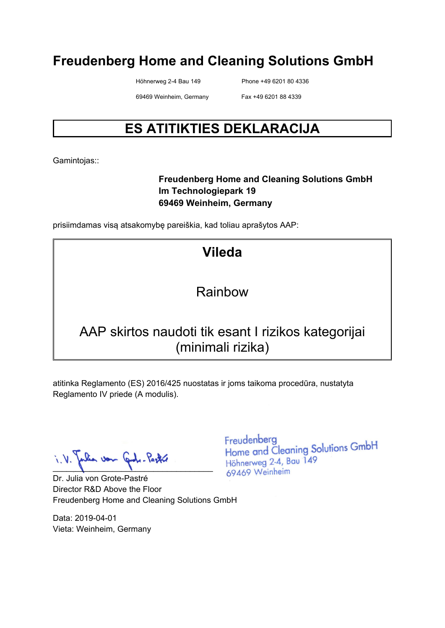Höhnerweg 2-4 Bau 149 Phone +49 6201 80 4336

69469 Weinheim, Germany Fax +49 6201 88 4339

# **ES ATITIKTIES DEKLARACIJA**

Gamintojas::

#### **Freudenberg Home and Cleaning Solutions GmbH Im Technologiepark 19 69469 Weinheim, Germany**

prisiimdamas visą atsakomybę pareiškia, kad toliau aprašytos AAP:

**Vileda** 

### Rainbow

### AAP skirtos naudoti tik esant I rizikos kategorijai (minimali rizika)

atitinka Reglamento (ES) 2016/425 nuostatas ir joms taikoma procedūra, nustatyta Reglamento IV priede (A modulis).

 $\blacksquare$ 

Dr. Julia von Grote-Pastré Director R&D Above the Floor Freudenberg Home and Cleaning Solutions GmbH

Data: 2019-04-01 Vieta: Weinheim, Germany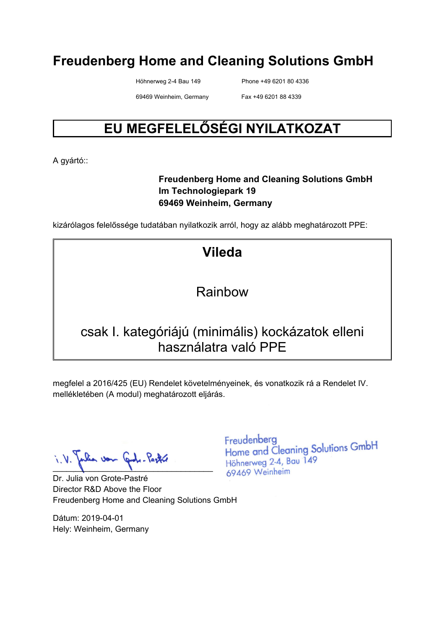Höhnerweg 2-4 Bau 149 Phone +49 6201 80 4336

69469 Weinheim, Germany Fax +49 6201 88 4339

# **EU MEGFELELŐSÉGI NYILATKOZAT**

A gyártó::

#### **Freudenberg Home and Cleaning Solutions GmbH Im Technologiepark 19 69469 Weinheim, Germany**

kizárólagos felelőssége tudatában nyilatkozik arról, hogy az alább meghatározott PPE:

**Vileda** 

Rainbow

### csak I. kategóriájú (minimális) kockázatok elleni használatra való PPE

megfelel a 2016/425 (EU) Rendelet követelményeinek, és vonatkozik rá a Rendelet IV. mellékletében (A modul) meghatározott eljárás.

lia von Graf. Pastre  $\blacksquare$ 

Dr. Julia von Grote-Pastré Director R&D Above the Floor Freudenberg Home and Cleaning Solutions GmbH

Dátum: 2019-04-01 Hely: Weinheim, Germany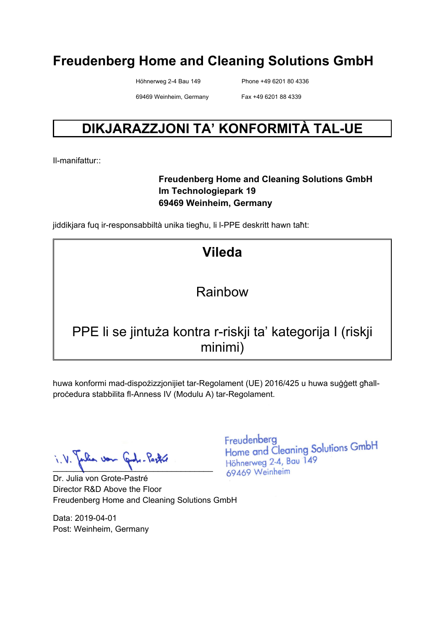Höhnerweg 2-4 Bau 149 Phone +49 6201 80 4336

69469 Weinheim, Germany Fax +49 6201 88 4339

# **DIKJARAZZJONI TA' KONFORMITÀ TAL-UE**

Il-manifattur::

#### **Freudenberg Home and Cleaning Solutions GmbH Im Technologiepark 19 69469 Weinheim, Germany**

jiddikjara fuq ir-responsabbiltà unika tiegħu, li l-PPE deskritt hawn taħt:

**Vileda** 

### Rainbow

# PPE li se jintuża kontra r-riskji ta' kategorija I (riskji minimi)

huwa konformi mad-dispożizzjonijiet tar-Regolament (UE) 2016/425 u huwa suġġett għallproċedura stabbilita fl-Anness IV (Modulu A) tar-Regolament.

lia von Cade-Pastre  $\blacksquare$ 

Dr. Julia von Grote-Pastré Director R&D Above the Floor Freudenberg Home and Cleaning Solutions GmbH

Data: 2019-04-01 Post: Weinheim, Germany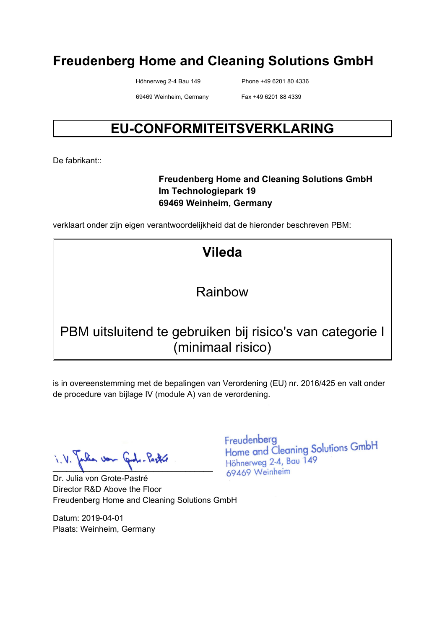Höhnerweg 2-4 Bau 149 Phone +49 6201 80 4336

69469 Weinheim, Germany Fax +49 6201 88 4339

# **EU-CONFORMITEITSVERKLARING**

De fabrikant<sup>::</sup>

#### **Freudenberg Home and Cleaning Solutions GmbH Im Technologiepark 19 69469 Weinheim, Germany**

verklaart onder zijn eigen verantwoordelijkheid dat de hieronder beschreven PBM:

**Vileda** 

### Rainbow

# PBM uitsluitend te gebruiken bij risico's van categorie I (minimaal risico)

is in overeenstemming met de bepalingen van Verordening (EU) nr. 2016/425 en valt onder de procedure van bijlage IV (module A) van de verordening.

lia von Graf. Pastre  $\blacksquare$ 

Dr. Julia von Grote-Pastré Director R&D Above the Floor Freudenberg Home and Cleaning Solutions GmbH

Datum: 2019-04-01 Plaats: Weinheim, Germany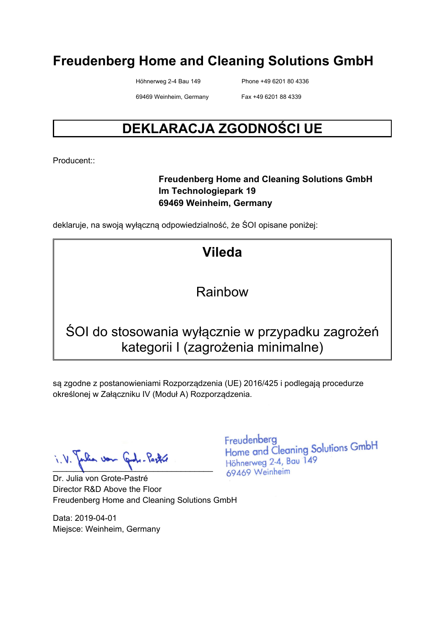Höhnerweg 2-4 Bau 149 Phone +49 6201 80 4336

69469 Weinheim, Germany Fax +49 6201 88 4339

# **DEKLARACJA ZGODNOŚCI UE**

Producent::

#### **Freudenberg Home and Cleaning Solutions GmbH Im Technologiepark 19 69469 Weinheim, Germany**

deklaruje, na swoją wyłączną odpowiedzialność, że ŚOI opisane poniżej:

**Vileda** 

### Rainbow

# ŚOI do stosowania wyłącznie w przypadku zagrożeń kategorii I (zagrożenia minimalne)

są zgodne z postanowieniami Rozporządzenia (UE) 2016/425 i podlegają procedurze określonej w Załączniku IV (Moduł A) Rozporządzenia.

 $\blacksquare$ 

Dr. Julia von Grote-Pastré Director R&D Above the Floor Freudenberg Home and Cleaning Solutions GmbH

Data: 2019-04-01 Miejsce: Weinheim, Germany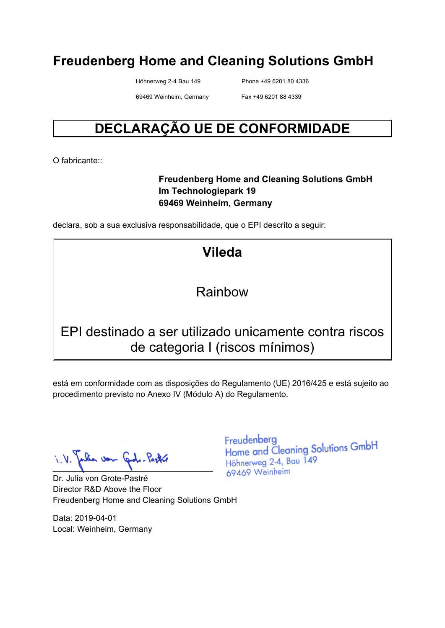Höhnerweg 2-4 Bau 149 Phone +49 6201 80 4336

69469 Weinheim, Germany Fax +49 6201 88 4339

# **DECLARAÇÃO UE DE CONFORMIDADE**

O fabricante:

#### **Freudenberg Home and Cleaning Solutions GmbH Im Technologiepark 19 69469 Weinheim, Germany**

declara, sob a sua exclusiva responsabilidade, que o EPI descrito a seguir:

**Vileda** 

#### Rainbow

### EPI destinado a ser utilizado unicamente contra riscos de categoria I (riscos mínimos)

está em conformidade com as disposições do Regulamento (UE) 2016/425 e está sujeito ao procedimento previsto no Anexo IV (Módulo A) do Regulamento.

 $\blacksquare$ 

Dr. Julia von Grote-Pastré Director R&D Above the Floor Freudenberg Home and Cleaning Solutions GmbH

Data: 2019-04-01 Local: Weinheim, Germany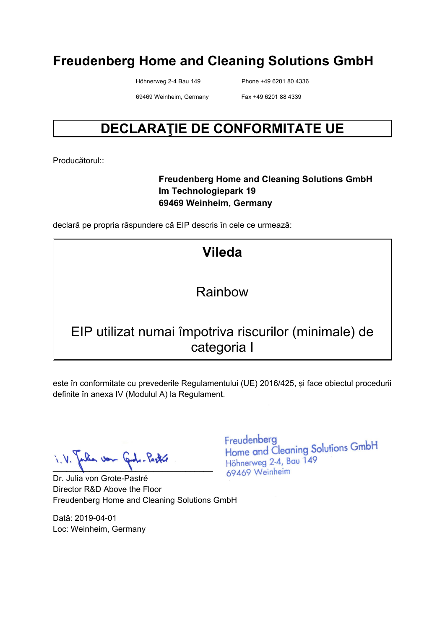Höhnerweg 2-4 Bau 149 Phone +49 6201 80 4336

69469 Weinheim, Germany Fax +49 6201 88 4339

# **DECLARAŢIE DE CONFORMITATE UE**

Producătorul::

#### **Freudenberg Home and Cleaning Solutions GmbH Im Technologiepark 19 69469 Weinheim, Germany**

declară pe propria răspundere că EIP descris în cele ce urmează:

**Vileda** 

Rainbow

### EIP utilizat numai împotriva riscurilor (minimale) de categoria I

este în conformitate cu prevederile Regulamentului (UE) 2016/425, și face obiectul procedurii definite în anexa IV (Modulul A) la Regulament.

lia von Graf. Pastre  $\blacksquare$ 

Dr. Julia von Grote-Pastré Director R&D Above the Floor Freudenberg Home and Cleaning Solutions GmbH

Dată: 2019-04-01 Loc: Weinheim, Germany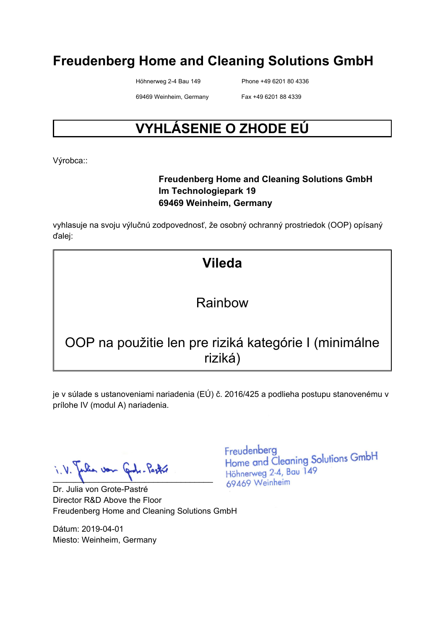Höhnerweg 2-4 Bau 149 Phone +49 6201 80 4336

69469 Weinheim, Germany Fax +49 6201 88 4339

# **VYHLÁSENIE O ZHODE EÚ**

Výrobca::

#### **Freudenberg Home and Cleaning Solutions GmbH Im Technologiepark 19 69469 Weinheim, Germany**

vyhlasuje na svoju výlučnú zodpovednosť, že osobný ochranný prostriedok (OOP) opísaný ďalej:

# **Vileda**

# Rainbow

# OOP na použitie len pre riziká kategórie I (minimálne riziká)

je v súlade s ustanoveniami nariadenia (EÚ) č. 2016/425 a podlieha postupu stanovenému v prílohe IV (modul A) nariadenia.

 $\blacksquare$ 

Dr. Julia von Grote-Pastré Director R&D Above the Floor Freudenberg Home and Cleaning Solutions GmbH

Dátum: 2019-04-01 Miesto: Weinheim, Germany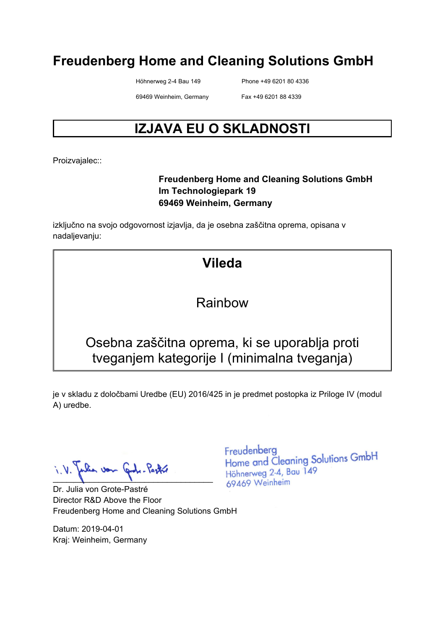Höhnerweg 2-4 Bau 149 Phone +49 6201 80 4336

69469 Weinheim, Germany Fax +49 6201 88 4339

# **IZJAVA EU O SKLADNOSTI**

Proizvajalec::

#### **Freudenberg Home and Cleaning Solutions GmbH Im Technologiepark 19 69469 Weinheim, Germany**

izključno na svojo odgovornost izjavlja, da je osebna zaščitna oprema, opisana v nadaljevanju:

# **Vileda**

### Rainbow

# Osebna zaščitna oprema, ki se uporablja proti tveganjem kategorije I (minimalna tveganja)

je v skladu z določbami Uredbe (EU) 2016/425 in je predmet postopka iz Priloge IV (modul A) uredbe.

Jon  $\blacksquare$ 

Dr. Julia von Grote-Pastré Director R&D Above the Floor Freudenberg Home and Cleaning Solutions GmbH

Datum: 2019-04-01 Kraj: Weinheim, Germany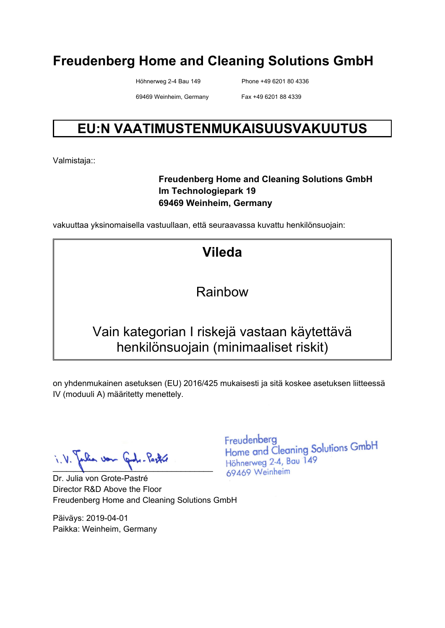Höhnerweg 2-4 Bau 149 Phone +49 6201 80 4336

69469 Weinheim, Germany Fax +49 6201 88 4339

# **EU:N VAATIMUSTENMUKAISUUSVAKUUTUS**

Valmistaja::

#### **Freudenberg Home and Cleaning Solutions GmbH Im Technologiepark 19 69469 Weinheim, Germany**

vakuuttaa yksinomaisella vastuullaan, että seuraavassa kuvattu henkilönsuojain:

**Vileda** 

Rainbow

# Vain kategorian I riskejä vastaan käytettävä henkilönsuojain (minimaaliset riskit)

on yhdenmukainen asetuksen (EU) 2016/425 mukaisesti ja sitä koskee asetuksen liitteessä IV (moduuli A) määritetty menettely.

pulia von Gode-Pastre

Dr. Julia von Grote-Pastré Director R&D Above the Floor Freudenberg Home and Cleaning Solutions GmbH

Päiväys: 2019-04-01 Paikka: Weinheim, Germany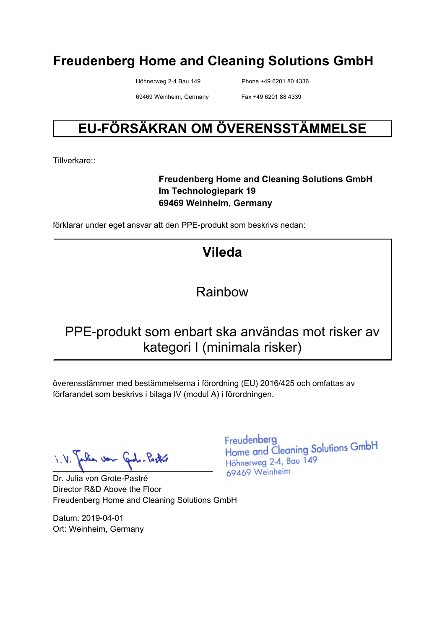Höhnerweg 2-4 Bau 149 Phone +49 6201 80 4336

69469 Weinheim, Germany Fax +49 6201 88 4339

# **EU-FÖRSÄKRAN OM ÖVERENSSTÄMMELSE**

Tillverkare::

#### **Freudenberg Home and Cleaning Solutions GmbH Im Technologiepark 19 69469 Weinheim, Germany**

förklarar under eget ansvar att den PPE-produkt som beskrivs nedan:

**Vileda** 

### Rainbow

# PPE-produkt som enbart ska användas mot risker av kategori I (minimala risker)

överensstämmer med bestämmelserna i förordning (EU) 2016/425 och omfattas av förfarandet som beskrivs i bilaga IV (modul A) i förordningen.

 $\blacksquare$ 

Dr. Julia von Grote-Pastré Director R&D Above the Floor Freudenberg Home and Cleaning Solutions GmbH

Datum: 2019-04-01 Ort: Weinheim, Germany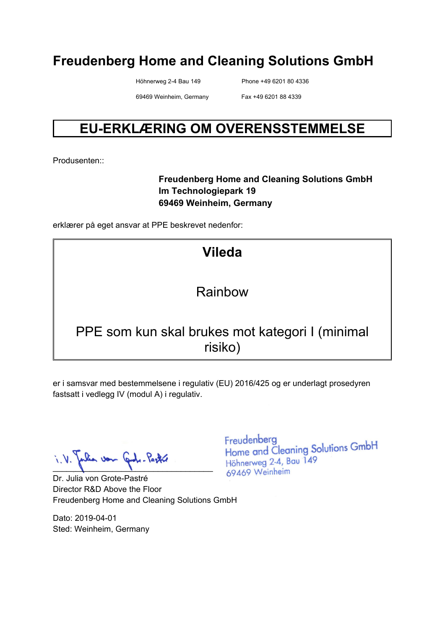Höhnerweg 2-4 Bau 149 Phone +49 6201 80 4336

69469 Weinheim, Germany Fax +49 6201 88 4339

# **EU-ERKLÆRING OM OVERENSSTEMMELSE**

Produsenten::

#### **Freudenberg Home and Cleaning Solutions GmbH Im Technologiepark 19 69469 Weinheim, Germany**

erklærer på eget ansvar at PPE beskrevet nedenfor:

# **Vileda**

### Rainbow

### PPE som kun skal brukes mot kategori I (minimal risiko)

er i samsvar med bestemmelsene i regulativ (EU) 2016/425 og er underlagt prosedyren fastsatt i vedlegg IV (modul A) i regulativ.

 $\blacksquare$ 

Dr. Julia von Grote-Pastré Director R&D Above the Floor Freudenberg Home and Cleaning Solutions GmbH

Dato: 2019-04-01 Sted: Weinheim, Germany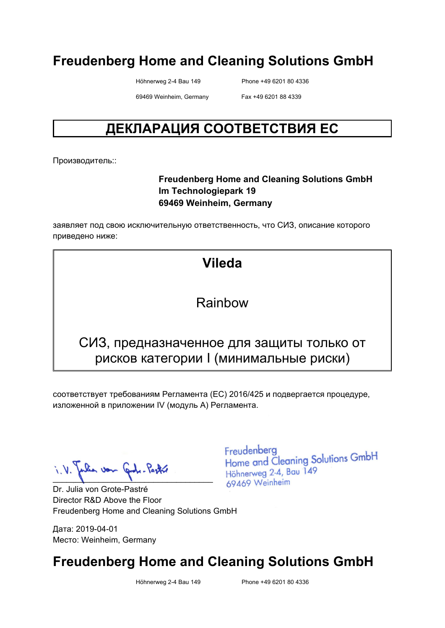Höhnerweg 2-4 Bau 149 Phone +49 6201 80 4336

69469 Weinheim, Germany Fax +49 6201 88 4339

# **ДЕКЛАРАЦИЯ СООТВЕТСТВИЯ ЕС**

Производитель::

#### **Freudenberg Home and Cleaning Solutions GmbH Im Technologiepark 19 69469 Weinheim, Germany**

заявляет под свою исключительную ответственность, что СИЗ, описание которого приведено ниже:

**Vileda** 

#### Rainbow

### СИЗ, предназначенное для защиты только от рисков категории I (минимальные риски)

соответствует требованиям Регламента (ЕС) 2016/425 и подвергается процедуре, изложенной в приложении IV (модуль A) Регламента.

 $\blacksquare$ 

Dr. Julia von Grote-Pastré Director R&D Above the Floor Freudenberg Home and Cleaning Solutions GmbH

Дата: 2019-04-01 Место: Weinheim, Germany Freudenberg Home and Cleaning Solutions GmbH Höhnerweg 2-4, Bau 149 69469 Weinheim

# **Freudenberg Home and Cleaning Solutions GmbH**

Höhnerweg 2-4 Bau 149 Phone +49 6201 80 4336